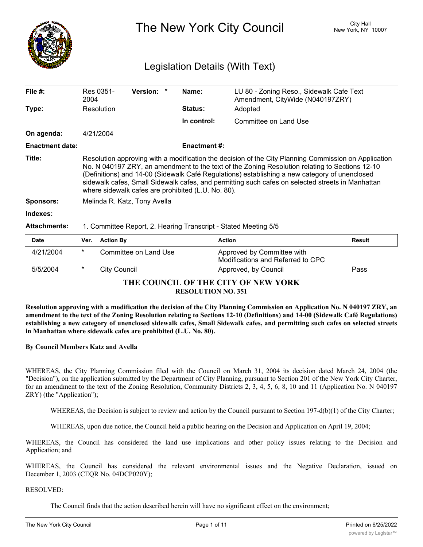

The New York City Council New York, NY 10007

## Legislation Details (With Text)

| File $#$ :             | Res 0351-<br>2004                                                                                                                                                                                                                                                                                                                                                                                                                                                 | <b>Version:</b> | Name:          | LU 80 - Zoning Reso., Sidewalk Cafe Text<br>Amendment, CityWide (N040197ZRY) |               |
|------------------------|-------------------------------------------------------------------------------------------------------------------------------------------------------------------------------------------------------------------------------------------------------------------------------------------------------------------------------------------------------------------------------------------------------------------------------------------------------------------|-----------------|----------------|------------------------------------------------------------------------------|---------------|
| Type:                  | Resolution                                                                                                                                                                                                                                                                                                                                                                                                                                                        |                 | <b>Status:</b> | Adopted                                                                      |               |
|                        |                                                                                                                                                                                                                                                                                                                                                                                                                                                                   |                 | In control:    | Committee on Land Use                                                        |               |
| On agenda:             | 4/21/2004                                                                                                                                                                                                                                                                                                                                                                                                                                                         |                 |                |                                                                              |               |
| <b>Enactment date:</b> |                                                                                                                                                                                                                                                                                                                                                                                                                                                                   |                 | Enactment #:   |                                                                              |               |
| Title:                 | Resolution approving with a modification the decision of the City Planning Commission on Application<br>No. N 040197 ZRY, an amendment to the text of the Zoning Resolution relating to Sections 12-10<br>(Definitions) and 14-00 (Sidewalk Café Regulations) establishing a new category of unenclosed<br>sidewalk cafes, Small Sidewalk cafes, and permitting such cafes on selected streets in Manhattan<br>where sidewalk cafes are prohibited (L.U. No. 80). |                 |                |                                                                              |               |
| <b>Sponsors:</b>       | Melinda R. Katz, Tony Avella                                                                                                                                                                                                                                                                                                                                                                                                                                      |                 |                |                                                                              |               |
| Indexes:               |                                                                                                                                                                                                                                                                                                                                                                                                                                                                   |                 |                |                                                                              |               |
| <b>Attachments:</b>    | 1. Committee Report, 2. Hearing Transcript - Stated Meeting 5/5                                                                                                                                                                                                                                                                                                                                                                                                   |                 |                |                                                                              |               |
| <b>Date</b>            | <b>Action By</b><br>Ver.                                                                                                                                                                                                                                                                                                                                                                                                                                          |                 |                | <b>Action</b>                                                                | <b>Result</b> |

|                                                                  | pace      |        | $\mathbf{v}$ . Avuvu Dy | Avuvu                                                           | nvour |  |
|------------------------------------------------------------------|-----------|--------|-------------------------|-----------------------------------------------------------------|-------|--|
|                                                                  | 4/21/2004 | $\ast$ | Committee on Land Use   | Approved by Committee with<br>Modifications and Referred to CPC |       |  |
|                                                                  | 5/5/2004  | *      | City Council            | Approved, by Council                                            | Pass  |  |
| THE COUNCIL OF THE CITY OF NEW YORK<br><b>RESOLUTION NO. 351</b> |           |        |                         |                                                                 |       |  |

Resolution approving with a modification the decision of the City Planning Commission on Application No. N 040197 ZRY, an amendment to the text of the Zoning Resolution relating to Sections 12-10 (Definitions) and 14-00 (Sidewalk Café Regulations) establishing a new category of unenclosed sidewalk cafes, Small Sidewalk cafes, and permitting such cafes on selected streets **in Manhattan where sidewalk cafes are prohibited (L.U. No. 80).**

### **By Council Members Katz and Avella**

WHEREAS, the City Planning Commission filed with the Council on March 31, 2004 its decision dated March 24, 2004 (the "Decision"), on the application submitted by the Department of City Planning, pursuant to Section 201 of the New York City Charter, for an amendment to the text of the Zoning Resolution, Community Districts 2, 3, 4, 5, 6, 8, 10 and 11 (Application No. N 040197 ZRY) (the "Application");

WHEREAS, the Decision is subject to review and action by the Council pursuant to Section 197-d(b)(1) of the City Charter;

WHEREAS, upon due notice, the Council held a public hearing on the Decision and Application on April 19, 2004;

WHEREAS, the Council has considered the land use implications and other policy issues relating to the Decision and Application; and

WHEREAS, the Council has considered the relevant environmental issues and the Negative Declaration, issued on December 1, 2003 (CEQR No. 04DCP020Y);

RESOLVED:

The Council finds that the action described herein will have no significant effect on the environment;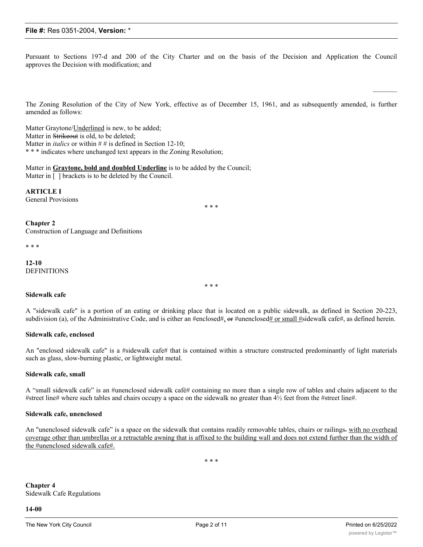Pursuant to Sections 197-d and 200 of the City Charter and on the basis of the Decision and Application the Council approves the Decision with modification; and

The Zoning Resolution of the City of New York, effective as of December 15, 1961, and as subsequently amended, is further amended as follows:

Matter Graytone/*Underlined* is new, to be added; Matter in Strikeout is old, to be deleted; Matter in *italics* or within # # is defined in Section 12-10; \* \* \* indicates where unchanged text appears in the Zoning Resolution;

Matter in **Graytone, bold and doubled Underline** is to be added by the Council; Matter in [ ] brackets is to be deleted by the Council.

**ARTICLE I** General Provisions

\* \* \*

**Chapter 2**

Construction of Language and Definitions

\* \* \*

**12-10** DEFINITIONS

**Sidewalk cafe**

A "sidewalk cafe" is a portion of an eating or drinking place that is located on a public sidewalk, as defined in Section 20-223, subdivision (a), of the Administrative Code, and is either an #enclosed#, or #unenclosed# or small #sidewalk cafe#, as defined herein.

\* \* \*

#### **Sidewalk cafe, enclosed**

An "enclosed sidewalk cafe" is a #sidewalk cafe# that is contained within a structure constructed predominantly of light materials such as glass, slow-burning plastic, or lightweight metal.

#### **Sidewalk cafe, small**

A "small sidewalk cafe" is an #unenclosed sidewalk café# containing no more than a single row of tables and chairs adjacent to the #street line# where such tables and chairs occupy a space on the sidewalk no greater than 4½ feet from the #street line#.

#### **Sidewalk cafe, unenclosed**

An "unenclosed sidewalk cafe" is a space on the sidewalk that contains readily removable tables, chairs or railings-with no overhead coverage other than umbrellas or a retractable awning that is affixed to the building wall and does not extend further than the width of the #unenclosed sidewalk cafe#.

\* \* \*

**Chapter 4** Sidewalk Cafe Regulations

**14-00**

 $\mathcal{L}=\mathcal{L}$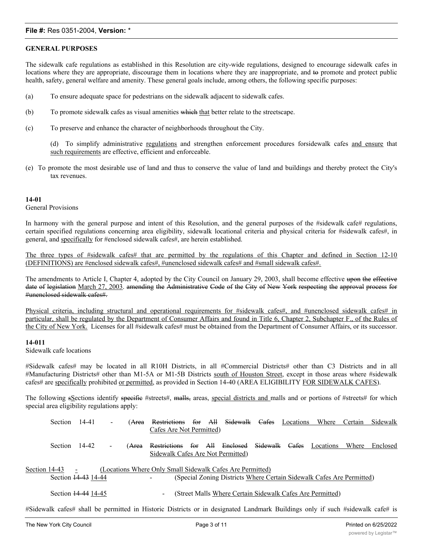## **GENERAL PURPOSES**

The sidewalk cafe regulations as established in this Resolution are city-wide regulations, designed to encourage sidewalk cafes in locations where they are appropriate, discourage them in locations where they are inappropriate, and to promote and protect public health, safety, general welfare and amenity. These general goals include, among others, the following specific purposes:

- (a) To ensure adequate space for pedestrians on the sidewalk adjacent to sidewalk cafes.
- $(b)$  To promote sidewalk cafes as visual amenities which that better relate to the streetscape.
- (c) To preserve and enhance the character of neighborhoods throughout the City.

(d) To simplify administrative regulations and strengthen enforcement procedures forsidewalk cafes and ensure that such requirements are effective, efficient and enforceable.

(e) To promote the most desirable use of land and thus to conserve the value of land and buildings and thereby protect the City's tax revenues.

#### **14-01**

General Provisions

In harmony with the general purpose and intent of this Resolution, and the general purposes of the #sidewalk cafe# regulations, certain specified regulations concerning area eligibility, sidewalk locational criteria and physical criteria for #sidewalk cafes#, in general, and specifically for #enclosed sidewalk cafes#, are herein established.

The three types of #sidewalk cafes# that are permitted by the regulations of this Chapter and defined in Section 12-10 (DEFINITIONS) are #enclosed sidewalk cafes#, #unenclosed sidewalk cafes# and #small sidewalk cafes#.

The amendments to Article I, Chapter 4, adopted by the City Council on January 29, 2003, shall become effective upon the effective date of legislation March 27, 2003. amending the Administrative Code of the City of New York respecting the approval process for #unenclosed sidewalk cafes#.

Physical criteria, including structural and operational requirements for #sidewalk cafes#, and #unenclosed sidewalk cafes# in particular, shall be regulated by the Department of Consumer Affairs and found in Title 6, Chapter 2, Subchapter F., of the Rules of the City of New York. Licenses for all #sidewalk cafes# must be obtained from the Department of Consumer Affairs, or its successor.

## **14-011**

Sidewalk cafe locations

#Sidewalk cafes# may be located in all R10H Districts, in all #Commercial Districts# other than C3 Districts and in all #Manufacturing Districts# other than M1-5A or M1-5B Districts south of Houston Street, except in those areas where #sidewalk cafes# are specifically prohibited or permitted, as provided in Section 14-40 (AREA ELIGIBILITY FOR SIDEWALK CAFES).

The following sSections identify specific #streets#, malls, areas, special districts and malls and or portions of #streets# for which special area eligibility regulations apply:

|               | <b>Section</b> | 14-41               | $\overline{\phantom{0}}$ | ( <del>Area</del> | Restrictions                                              | for     | All | Sidewalk Cafes                                                        | Locations | Where     | Certain | Sidewalk |
|---------------|----------------|---------------------|--------------------------|-------------------|-----------------------------------------------------------|---------|-----|-----------------------------------------------------------------------|-----------|-----------|---------|----------|
|               |                |                     |                          |                   | Cafes Are Not Permitted)                                  |         |     |                                                                       |           |           |         |          |
|               | <b>Section</b> | 14-42               |                          | ( <del>Area</del> | Restrictions<br>Sidewalk Cafes Are Not Permitted)         | for All |     | Enclosed Sidewalk Cafes                                               |           | Locations | Where   | Enclosed |
| Section 14-43 |                | Section 44-43 14-44 |                          |                   | (Locations Where Only Small Sidewalk Cafes Are Permitted) |         |     | (Special Zoning Districts Where Certain Sidewalk Cafes Are Permitted) |           |           |         |          |
|               |                | Section 14-44 14-45 |                          |                   | $\overline{\phantom{a}}$                                  |         |     | (Street Malls Where Certain Sidewalk Cafes Are Permitted)             |           |           |         |          |

#Sidewalk cafes# shall be permitted in Historic Districts or in designated Landmark Buildings only if such #sidewalk cafe# is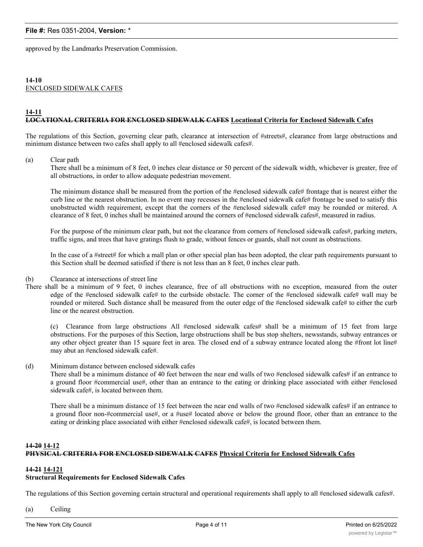approved by the Landmarks Preservation Commission.

#### **14-10** ENCLOSED SIDEWALK CAFES

#### **14-11 LOCATIONAL CRITERIA FOR ENCLOSED SIDEWALK CAFES Locational Criteria for Enclosed Sidewalk Cafes**

The regulations of this Section, governing clear path, clearance at intersection of #streets#, clearance from large obstructions and minimum distance between two cafes shall apply to all #enclosed sidewalk cafes#.

#### (a) Clear path

There shall be a minimum of 8 feet, 0 inches clear distance or 50 percent of the sidewalk width, whichever is greater, free of all obstructions, in order to allow adequate pedestrian movement.

The minimum distance shall be measured from the portion of the #enclosed sidewalk cafe# frontage that is nearest either the curb line or the nearest obstruction. In no event may recesses in the #enclosed sidewalk cafe# frontage be used to satisfy this unobstructed width requirement, except that the corners of the #enclosed sidewalk cafe# may be rounded or mitered. A clearance of 8 feet, 0 inches shall be maintained around the corners of #enclosed sidewalk cafes#, measured in radius.

For the purpose of the minimum clear path, but not the clearance from corners of #enclosed sidewalk cafes#, parking meters, traffic signs, and trees that have gratings flush to grade, without fences or guards, shall not count as obstructions.

In the case of a #street# for which a mall plan or other special plan has been adopted, the clear path requirements pursuant to this Section shall be deemed satisfied if there is not less than an 8 feet, 0 inches clear path.

- (b) Clearance at intersections of street line
- There shall be a minimum of 9 feet, 0 inches clearance, free of all obstructions with no exception, measured from the outer edge of the #enclosed sidewalk cafe# to the curbside obstacle. The corner of the #enclosed sidewalk cafe# wall may be rounded or mitered. Such distance shall be measured from the outer edge of the #enclosed sidewalk cafe# to either the curb line or the nearest obstruction.

(c) Clearance from large obstructions All #enclosed sidewalk cafes# shall be a minimum of 15 feet from large obstructions. For the purposes of this Section, large obstructions shall be bus stop shelters, newsstands, subway entrances or any other object greater than 15 square feet in area. The closed end of a subway entrance located along the #front lot line# may abut an #enclosed sidewalk cafe#.

#### (d) Minimum distance between enclosed sidewalk cafes

There shall be a minimum distance of 40 feet between the near end walls of two #enclosed sidewalk cafes# if an entrance to a ground floor #commercial use#, other than an entrance to the eating or drinking place associated with either #enclosed sidewalk cafe#, is located between them.

There shall be a minimum distance of 15 feet between the near end walls of two #enclosed sidewalk cafes# if an entrance to a ground floor non-#commercial use#, or a #use# located above or below the ground floor, other than an entrance to the eating or drinking place associated with either #enclosed sidewalk cafe#, is located between them.

## **14-20 14-12 PHYSICAL CRITERIA FOR ENCLOSED SIDEWALK CAFES Physical Criteria for Enclosed Sidewalk Cafes**

#### **14-21 14-121**

#### **Structural Requirements for Enclosed Sidewalk Cafes**

The regulations of this Section governing certain structural and operational requirements shall apply to all #enclosed sidewalk cafes#.

(a) Ceiling

The ceiling of an #enclosed sidewalk cafe# shall be of incombustible materials, including colored or colorless safety glass or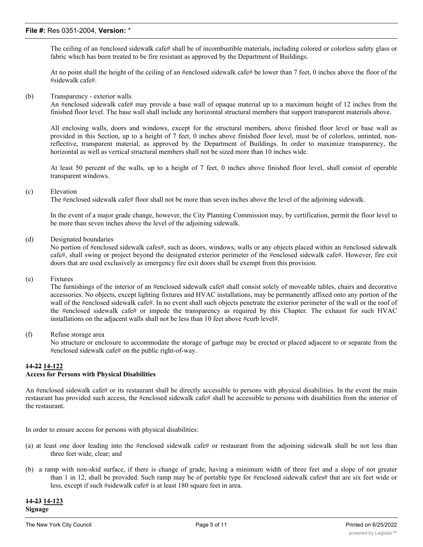The ceiling of an #enclosed sidewalk cafe# shall be of incombustible materials, including colored or colorless safety glass or fabric which has been treated to be fire resistant as approved by the Department of Buildings.

At no point shall the height of the ceiling of an #enclosed sidewalk cafe# be lower than 7 feet, 0 inches above the floor of the #sidewalk cafe#.

(b) Transparency - exterior walls

An #enclosed sidewalk cafe# may provide a base wall of opaque material up to a maximum height of 12 inches from the finished floor level. The base wall shall include any horizontal structural members that support transparent materials above.

All enclosing walls, doors and windows, except for the structural members, above finished floor level or base wall as provided in this Section, up to a height of 7 feet, 0 inches above finished floor level, must be of colorless, untinted, nonreflective, transparent material, as approved by the Department of Buildings. In order to maximize transparency, the horizontal as well as vertical structural members shall not be sized more than 10 inches wide.

At least 50 percent of the walls, up to a height of 7 feet, 0 inches above finished floor level, shall consist of operable transparent windows.

#### (c) Elevation

The #enclosed sidewalk cafe# floor shall not be more than seven inches above the level of the adjoining sidewalk.

In the event of a major grade change, however, the City Planning Commission may, by certification, permit the floor level to be more than seven inches above the level of the adjoining sidewalk.

(d) Designated boundaries

No portion of #enclosed sidewalk cafes#, such as doors, windows, walls or any objects placed within an #enclosed sidewalk cafe#, shall swing or project beyond the designated exterior perimeter of the #enclosed sidewalk cafe#. However, fire exit doors that are used exclusively as emergency fire exit doors shall be exempt from this provision.

#### (e) Fixtures

The furnishings of the interior of an #enclosed sidewalk cafe# shall consist solely of moveable tables, chairs and decorative accessories. No objects, except lighting fixtures and HVAC installations, may be permanently affixed onto any portion of the wall of the #enclosed sidewalk cafe#. In no event shall such objects penetrate the exterior perimeter of the wall or the roof of the #enclosed sidewalk cafe# or impede the transparency as required by this Chapter. The exhaust for such HVAC installations on the adjacent walls shall not be less than 10 feet above #curb level#.

(f) Refuse storage area

No structure or enclosure to accommodate the storage of garbage may be erected or placed adjacent to or separate from the #enclosed sidewalk cafe# on the public right-of-way.

# **14-22 14-122**

## **Access for Persons with Physical Disabilities**

An #enclosed sidewalk cafe# or its restaurant shall be directly accessible to persons with physical disabilities. In the event the main restaurant has provided such access, the #enclosed sidewalk cafe# shall be accessible to persons with disabilities from the interior of the restaurant.

In order to ensure access for persons with physical disabilities:

- (a) at least one door leading into the #enclosed sidewalk cafe# or restaurant from the adjoining sidewalk shall be not less than three feet wide, clear; and
- (b) a ramp with non-skid surface, if there is change of grade, having a minimum width of three feet and a slope of not greater than 1 in 12, shall be provided. Such ramp may be of portable type for #enclosed sidewalk cafes# that are six feet wide or less, except if such #sidewalk cafe# is at least 180 square feet in area.

**14-23 14-123 Signage**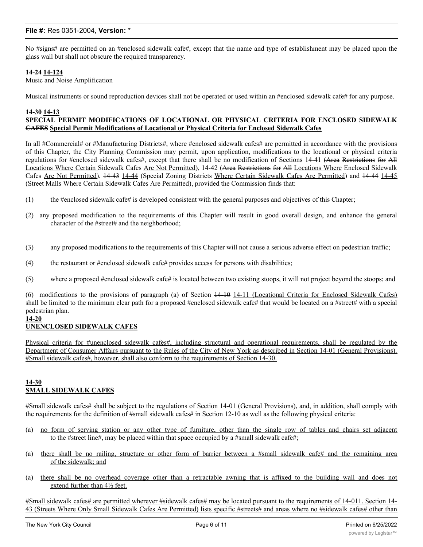No #signs# are permitted on an #enclosed sidewalk cafe#, except that the name and type of establishment may be placed upon the glass wall but shall not obscure the required transparency.

### **14-24 14-124**

Music and Noise Amplification

Musical instruments or sound reproduction devices shall not be operated or used within an #enclosed sidewalk cafe# for any purpose.

#### **14-30 14-13 SPECIAL PERMIT MODIFICATIONS OF LOCATIONAL OR PHYSICAL CRITERIA FOR ENCLOSED SIDEWALK CAFES Special Permit Modifications of Locational or Physical Criteria for Enclosed Sidewalk Cafes**

In all #Commercial# or #Manufacturing Districts#, where #enclosed sidewalk cafes# are permitted in accordance with the provisions of this Chapter, the City Planning Commission may permit, upon application, modifications to the locational or physical criteria regulations for #enclosed sidewalk cafes#, except that there shall be no modification of Sections 14-41 (Area Restrictions for All Locations Where Certain Sidewalk Cafes Are Not Permitted), 14-42 (Area Restrictions for All Locations Where Enclosed Sidewalk Cafes Are Not Permitted), 14-43 14-44 (Special Zoning Districts Where Certain Sidewalk Cafes Are Permitted) and 14-44 14-45 (Street Malls Where Certain Sidewalk Cafes Are Permitted), provided the Commission finds that:

- (1) the #enclosed sidewalk cafe# is developed consistent with the general purposes and objectives of this Chapter;
- (2) any proposed modification to the requirements of this Chapter will result in good overall design, and enhance the general character of the #street# and the neighborhood;
- (3) any proposed modifications to the requirements of this Chapter will not cause a serious adverse effect on pedestrian traffic;
- (4) the restaurant or  $\#$ enclosed sidewalk cafe $\#$  provides access for persons with disabilities;
- (5) where a proposed #enclosed sidewalk cafe# is located between two existing stoops, it will not project beyond the stoops; and

(6) modifications to the provisions of paragraph (a) of Section 14-10 14-11 (Locational Criteria for Enclosed Sidewalk Cafes) shall be limited to the minimum clear path for a proposed #enclosed sidewalk cafe# that would be located on a #street# with a special pedestrian plan.

## **14-20**

## **UNENCLOSED SIDEWALK CAFES**

Physical criteria for #unenclosed sidewalk cafes#, including structural and operational requirements, shall be regulated by the Department of Consumer Affairs pursuant to the Rules of the City of New York as described in Section 14-01 (General Provisions). #Small sidewalk cafes#, however, shall also conform to the requirements of Section 14-30.

## **14-30 SMALL SIDEWALK CAFES**

#Small sidewalk cafes# shall be subject to the regulations of Section 14-01 (General Provisions), and, in addition, shall comply with the requirements for the definition of #small sidewalk cafes# in Section 12-10 as well as the following physical criteria:

- (a) no form of serving station or any other type of furniture, other than the single row of tables and chairs set adjacent to the #street line#, may be placed within that space occupied by a #small sidewalk cafe#;
- (a) there shall be no railing, structure or other form of barrier between a #small sidewalk cafe# and the remaining area of the sidewalk; and
- (a) there shall be no overhead coverage other than a retractable awning that is affixed to the building wall and does not extend further than 4½ feet.

#Small sidewalk cafes# are permitted wherever #sidewalk cafes# may be located pursuant to the requirements of 14-011. Section 14- 43 (Streets Where Only Small Sidewalk Cafes Are Permitted) lists specific #streets# and areas where no #sidewalk cafes# other than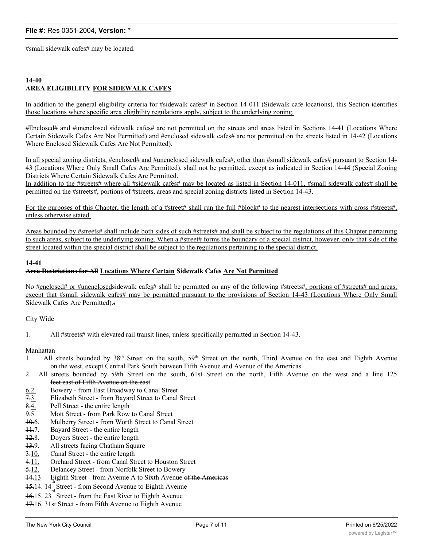#small sidewalk cafes# may be located.

### **14-40 AREA ELIGIBILITY FOR SIDEWALK CAFES**

In addition to the general eligibility criteria for #sidewalk cafes# in Section 14-011 (Sidewalk cafe locations), this Section identifies those locations where specific area eligibility regulations apply, subject to the underlying zoning.

#Enclosed# and #unenclosed sidewalk cafes# are not permitted on the streets and areas listed in Sections 14-41 (Locations Where Certain Sidewalk Cafes Are Not Permitted) and #enclosed sidewalk cafes# are not permitted on the streets listed in 14-42 (Locations Where Enclosed Sidewalk Cafes Are Not Permitted).

In all special zoning districts, #enclosed# and #unenclosed sidewalk cafes#, other than #small sidewalk cafes# pursuant to Section 14-43 (Locations Where Only Small Cafes Are Permitted), shall not be permitted, except as indicated in Section 14-44 (Special Zoning Districts Where Certain Sidewalk Cafes Are Permitted.

In addition to the #streets# where all #sidewalk cafes# may be located as listed in Section 14-011, #small sidewalk cafes# shall be permitted on the #streets#, portions of #streets, areas and special zoning districts listed in Section 14-43.

For the purposes of this Chapter, the length of a #street# shall run the full #block# to the nearest intersections with cross #streets#, unless otherwise stated.

Areas bounded by #streets# shall include both sides of such #streets# and shall be subject to the regulations of this Chapter pertaining to such areas, subject to the underlying zoning. When a #street# forms the boundary of a special district, however, only that side of the street located within the special district shall be subject to the regulations pertaining to the special district.

#### **14-41**

## **Area Restrictions for All Locations Where Certain Sidewalk Cafes Are Not Permitted**

No #enclosed# or #unenclosedsidewalk cafes# shall be permitted on any of the following #streets#, portions of #streets# and areas, except that #small sidewalk cafes# may be permitted pursuant to the provisions of Section 14-43 (Locations Where Only Small Sidewalk Cafes Are Permitted).:

City Wide

1. All #streets# with elevated rail transit lines, unless specifically permitted in Section 14-43.

#### Manhattan

- 1. All streets bounded by 38th Street on the south, 59th Street on the north, Third Avenue on the east and Eighth Avenue on the west, except Central Park South between Fifth Avenue and Avenue of the Americas
- 2. All streets bounded by 59th Street on the south, 61st Street on the north, Fifth Avenue on the west and a line 125 feet east of Fifth Avenue on the east
- 6.2. Bowery from East Broadway to Canal Street
- 7.3. Elizabeth Street from Bayard Street to Canal Street
- 8.4. Pell Street the entire length
- 9.5. Mott Street from Park Row to Canal Street
- 10.6. Mulberry Street from Worth Street to Canal Street
- 11.7. Bayard Street the entire length
- 12.8. Doyers Street the entire length
- 13.9. All streets facing Chatham Square
- 3.10. Canal Street the entire length
- 4.11. Orchard Street from Canal Street to Houston Street
- 5.12. Delancey Street from Norfolk Street to Bowery
- 14.13 Eighth Street from Avenue A to Sixth Avenue of the Americas
- 15.14. 14 Street from Second Avenue to Eighth Avenue
- $16.15. 23$  Street from the East River to Eighth Avenue
- 17.16. 31st Street from Fifth Avenue to Eighth Avenue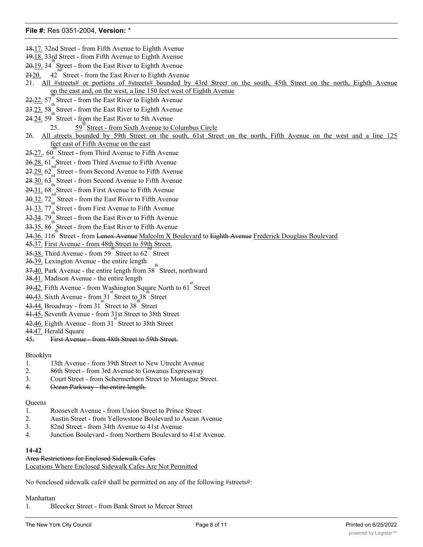- 18.17. 32nd Street from Fifth Avenue to Eighth Avenue
- 19.18. 33rd Street from Fifth Avenue to Eighth Avenue
- $20-19$ . 34 Street from the East River to Eighth Avenue
- $2420.$ Street - from the East River to Eighth Avenue
- 21. All #streets# or portions of #streets# bounded by 43rd Street on the south, 45th Street on the north, Eighth Avenue on the east and, on the west, a line 150 feet west of Eighth Avenue th
- 22.22. 57<sub>th</sub> Street from the East River to Eighth Avenue
- 23.23. 58<sub>th</sub> Street from the East River to Eighth Avenue
- 24.24. 59 Street from the East River to 5th Avenue
	- 25.  $\frac{59}{9}$  Street from Sixth Avenue to Columbus Circle
- 26. All streets bounded by 59th Street on the south, 61st Street on the north, Fifth Avenue on the west and a line 125 feet east of Fifth Avenue on the east
- 25.27. 60 Street from Third Avenue to Fifth Avenue
- $26.28.61<sub>nd</sub><sup>8</sup>$ Street from Third Avenue to Fifth Avenue
- 27.29. 62<sub>rd</sub> Street from Second Avenue to Fifth Avenue
- 28.30. 63<sub>th</sub> Street from Second Avenue to Fifth Avenue
- 29.31. 68 Street from First Avenue to Fifth Avenue
- 30.32. 72<sub>th</sub> Street from the East River to Fifth Avenue
- 31.33. 77<sub>th</sub> Street from First Avenue to Fifth Avenue
- 32.34. 79<sub>th</sub> Street from the East River to Fifth Avenue
- 33.35. 86 Street from the East River to Fifth Avenue
- 34.36, 116 Street from <del>Lenox Avenue</del> Malcolm X Boulevard to <del>Eighth Avenue Frederick Douglass Boulevard</del>
- 45.37. First Avenue from 48th Street to 59th Street.
- 35.38. Third Avenue from 59 Street to 62 Street
- 36.39. Lexington Avenue the entire length
- $\frac{37.40}{9.40}$ . Park Avenue the entire length from 38<sup>th</sup> Street, northward
- 38.41. Madison Avenue the entire length
- $\frac{39.42}{s}$ . Fifth Avenue from Washington Square North to 61<sup>st</sup> Street
- $40.43$ . Sixth Avenue from  $31^{15}$  Street to  $38^{15}$  Street
- $43.44.$  Broadway from 31 Street to 38 Street
- 41.45. Seventh Avenue from 31st Street to 38th Street
- $42.46$ . Eighth Avenue from  $31<sup>st</sup>$  Street to 38th Street
- 44.47. Herald Square
- 45. First Avenue from 48th Street to 59th Street.

#### Brooklyn

- 1. 13th Avenue from 39th Street to New Utrecht Avenue
- 2. 86th Street from 3rd Avenue to Gowanus Expressway
- 3. Court Street from Schermerhorn Street to Montague Street.
- 4. Ocean Parkway the entire length.

#### **Queens**

- 1. Roosevelt Avenue from Union Street to Prince Street
- 2. Austin Street from Yellowstone Boulevard to Ascan Avenue
- 3. 82nd Street from 34th Avenue to 41st Avenue
- 4. Junction Boulevard from Northern Boulevard to 41st Avenue.

### **14-42**

#### Area Restrictions for Enclosed Sidewalk Cafes Locations Where Enclosed Sidewalk Cafes Are Not Permitted

No #enclosed sidewalk cafe# shall be permitted on any of the following #streets#:

## Manhattan

1. Bleecker Street - from Bank Street to Mercer Street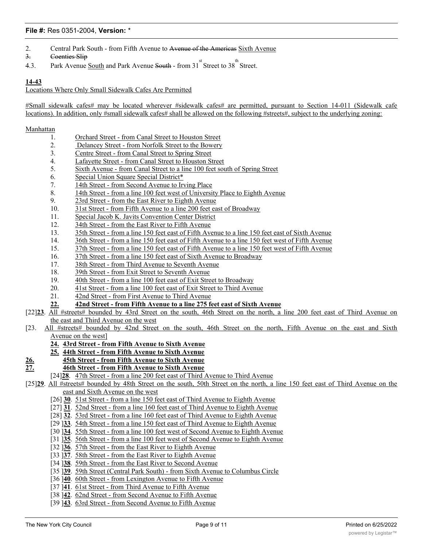- 2. Central Park South from Fifth Avenue to Avenue of the Americas Sixth Avenue
- 3. Coenties Slip
- 4.3. Park Avenue South and Park Avenue South from  $31^{st}$  Street to  $38^{th}$  Street.

#### **14-43**

Locations Where Only Small Sidewalk Cafes Are Permitted

#Small sidewalk cafes# may be located wherever #sidewalk cafes# are permitted, pursuant to Section 14-011 (Sidewalk cafe locations). In addition, only #small sidewalk cafes# shall be allowed on the following #streets#, subject to the underlying zoning:

#### Manhattan

- 1. Orchard Street from Canal Street to Houston Street
- 2. Delancey Street from Norfolk Street to the Bowery
- 3. Centre Street from Canal Street to Spring Street
- 4. Lafayette Street from Canal Street to Houston Street
- 5. Sixth Avenue from Canal Street to a line 100 feet south of Spring Street
- 6. Special Union Square Special District\*
- 7. 14th Street from Second Avenue to Irving Place
- 8. 14th Street from a line 100 feet west of University Place to Eighth Avenue
- 9. 23rd Street from the East River to Eighth Avenue
- 10. 31st Street from Fifth Avenue to a line 200 feet east of Broadway
- 11. Special Jacob K. Javits Convention Center District
- 12. 34th Street from the East River to Fifth Avenue
- 13. 35th Street from a line 150 feet east of Fifth Avenue to a line 150 feet east of Sixth Avenue
- 14. 36th Street from a line 150 feet east of Fifth Avenue to a line 150 feet west of Fifth Avenue
- 15. 37th Street from a line 150 feet east of Fifth Avenue to a line 150 feet west of Fifth Avenue
- 16. 37th Street from a line 150 feet east of Sixth Avenue to Broadway
- 17. 38th Street from Third Avenue to Seventh Avenue
- 18. 39th Street from Exit Street to Seventh Avenue
- 19. 40th Street from a line 100 feet east of Exit Street to Broadway
- 20. 41st Street from a line 100 feet east of Exit Street to Third Avenue
- 21. 42nd Street from First Avenue to Third Avenue
- **22. 42nd Street from Fifth Avenue to a line 275 feet east of Sixth Avenue**
- [22]**23**. All #streets# bounded by 43rd Street on the south, 46th Street on the north, a line 200 feet east of Third Avenue on the east and Third Avenue on the west
- [23. All #streets# bounded by 42nd Street on the south, 46th Street on the north, Fifth Avenue on the east and Sixth Avenue on the west]
	- **24. 43rd Street from Fifth Avenue to Sixth Avenue**
	- **25. 44th Street from Fifth Avenue to Sixth Avenue**
- **26. 45th Street from Fifth Avenue to Sixth Avenue**
- **27. 46th Street from Fifth Avenue to Sixth Avenue**
	- [24]**28**. 47th Street from a line 200 feet east of Third Avenue to Third Avenue

[25]**29**. All #streets# bounded by 48th Street on the south, 50th Street on the north, a line 150 feet east of Third Avenue on the east and Sixth Avenue on the west

- [26] **30**. 51st Street from a line 150 feet east of Third Avenue to Eighth Avenue
- [27] **31**. 52nd Street from a line 160 feet east of Third Avenue to Eighth Avenue
- [28] **32**. 53rd Street from a line 160 feet east of Third Avenue to Eighth Avenue
- [29 ]**33**. 54th Street from a line 150 feet east of Third Avenue to Eighth Avenue
- [30 ]**34**. 55th Street from a line 100 feet west of Second Avenue to Eighth Avenue
- [31 ]**35**. 56th Street from a line 100 feet west of Second Avenue to Eighth Avenue
- [32 ]**36**. 57th Street from the East River to Eighth Avenue
- [33 ]**37**. 58th Street from the East River to Eighth Avenue
- [34 ]**38**. 59th Street from the East River to Second Avenue
- [35 ]**39**. 59th Street (Central Park South) from Sixth Avenue to Columbus Circle
- [36 ]**40**. 60th Street from Lexington Avenue to Fifth Avenue
- [37 ]**41**. 61st Street from Third Avenue to Fifth Avenue
- [38 ]**42**. 62nd Street from Second Avenue to Fifth Avenue
- [39 ]**43**. 63rd Street from Second Avenue to Fifth Avenue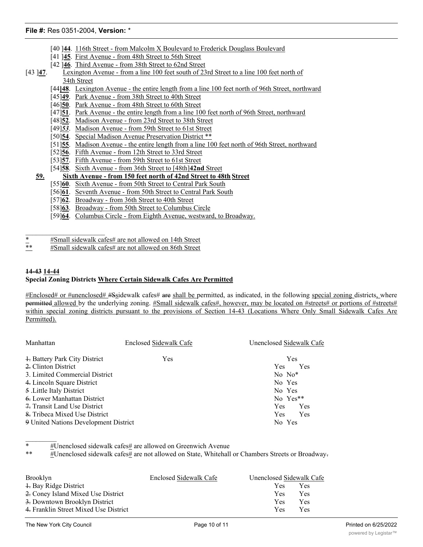- [40 ]**44**. 116th Street from Malcolm X Boulevard to Frederick Douglass Boulevard
- [41 ]**45**. First Avenue from 48th Street to 56th Street
- [42 ]**46**. Third Avenue from 38th Street to 62nd Street
- [43 ]**47**. Lexington Avenue from a line 100 feet south of 23rd Street to a line 100 feet north of 34th Street
	- [44**]48**. Lexington Avenue the entire length from a line 100 feet north of 96th Street, northward
	- [45]**49**. Park Avenue from 38th Street to 40th Street
	- [46]**50**. Park Avenue from 48th Street to 60th Street
	- [47]<sup>51</sup>. Park Avenue the entire length from a line 100 feet north of 96th Street, northward
	- [48]**52**. Madison Avenue from 23rd Street to 38th Street
	- [49]*53*. Madison Avenue from 59th Street to 61st Street
	- [50]**54**. Special Madison Avenue Preservation District \*\*
	- [51]**55**. Madison Avenue the entire length from a line 100 feet north of 96th Street, northward
	- [52]**56**. Fifth Avenue from 12th Street to 33rd Street
	- [53]**57**. Fifth Avenue from 59th Street to 61st Street
	- [54]**58**. Sixth Avenue from 36th Street to [48th]**42nd** Street

## **59. Sixth Avenue - from 150 feet north of 42nd Street to 48th Street**

- [55]**60**. Sixth Avenue from 50th Street to Central Park South
- [56]**61**. Seventh Avenue from 50th Street to Central Park South
- [57]**62**. Broadway from 36th Street to 40th Street
- [58]**63**. Broadway from 50th Street to Columbus Circle
- [59]**64**. Columbus Circle from Eighth Avenue, westward, to Broadway.

\*  $\frac{1}{2}$  #Small sidewalk cafes# are not allowed on 14th Street

#Small sidewalk cafes# are not allowed on 86th Street

## **14-43 14-44 Special Zoning Districts Where Certain Sidewalk Cafes Are Permitted**

#Enclosed# or #unenclosed# #Ssidewalk cafes# are shall be permitted, as indicated, in the following special zoning districts, where permitted allowed by the underlying zoning. #Small sidewalk cafes#, however, may be located on #streets# or portions of #streets# within special zoning districts pursuant to the provisions of Section 14-43 (Locations Where Only Small Sidewalk Cafes Are Permitted).

| Manhattan                             | Enclosed Sidewalk Cafe | Unenclosed Sidewalk Cafe |  |
|---------------------------------------|------------------------|--------------------------|--|
| + Battery Park City District          | <b>Yes</b>             | <b>Yes</b>               |  |
| 2. Clinton District                   |                        | Yes<br><b>Yes</b>        |  |
| 3. Limited Commercial District        | $No\;No^*$             |                          |  |
| 4. Lincoln Square District            | No Yes                 |                          |  |
| 5 .Little Italy District              | No Yes                 |                          |  |
| 6. Lower Manhattan District           |                        | No Yes**                 |  |
| 7. Transit Land Use District          |                        | <b>Yes</b><br>Yes        |  |
| 8. Tribeca Mixed Use District         |                        | Yes<br><b>Yes</b>        |  |
| 9 United Nations Development District |                        | No Yes                   |  |

#Unenclosed sidewalk cafes# are allowed on Greenwich Avenue

\*\* #Unenclosed sidewalk cafes# are not allowed on State, Whitehall or Chambers Streets or Broadway.

| Brooklyn                              | Enclosed Sidewalk Cafe | Unenclosed Sidewalk Cafe |            |
|---------------------------------------|------------------------|--------------------------|------------|
| + Bay Ridge District                  |                        | <b>Yes</b>               | <b>Yes</b> |
| 2. Coney Island Mixed Use District    |                        | Yes.                     | Yes        |
| 3. Downtown Brooklyn District         |                        | <b>Yes</b>               | Yes        |
| 4. Franklin Street Mixed Use District |                        | <b>Yes</b>               | Yes        |

 $\mathcal{L}_\text{max}$